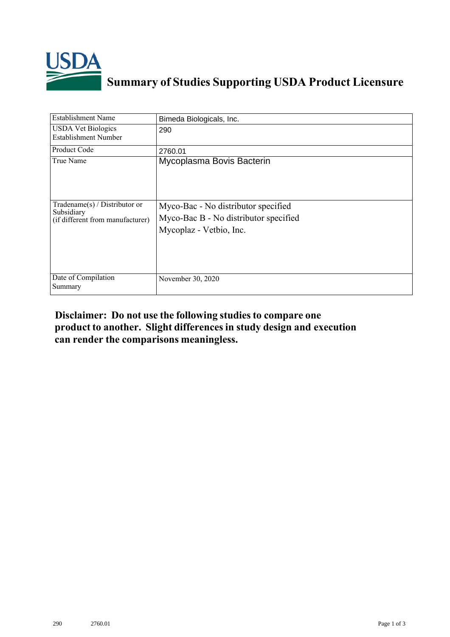

## **Summary of Studies Supporting USDA Product Licensure**

| Establishment Name                                                                 | Bimeda Biologicals, Inc.                                                                                |
|------------------------------------------------------------------------------------|---------------------------------------------------------------------------------------------------------|
| <b>USDA Vet Biologics</b><br><b>Establishment Number</b>                           | 290                                                                                                     |
| Product Code                                                                       | 2760.01                                                                                                 |
| True Name                                                                          | Mycoplasma Bovis Bacterin                                                                               |
| Tradename $(s)$ / Distributor or<br>Subsidiary<br>(if different from manufacturer) | Myco-Bac - No distributor specified<br>Myco-Bac B - No distributor specified<br>Mycoplaz - Vetbio, Inc. |
| Date of Compilation<br>Summary                                                     | November 30, 2020                                                                                       |

## **Disclaimer: Do not use the following studiesto compare one product to another. Slight differencesin study design and execution can render the comparisons meaningless.**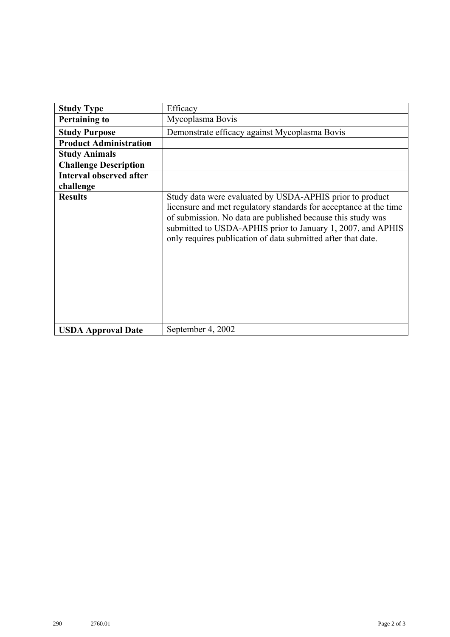| <b>Study Type</b>              | Efficacy                                                                                                                                                                                                                                                                                                                    |
|--------------------------------|-----------------------------------------------------------------------------------------------------------------------------------------------------------------------------------------------------------------------------------------------------------------------------------------------------------------------------|
| <b>Pertaining to</b>           | Mycoplasma Bovis                                                                                                                                                                                                                                                                                                            |
| <b>Study Purpose</b>           | Demonstrate efficacy against Mycoplasma Bovis                                                                                                                                                                                                                                                                               |
| <b>Product Administration</b>  |                                                                                                                                                                                                                                                                                                                             |
| <b>Study Animals</b>           |                                                                                                                                                                                                                                                                                                                             |
| <b>Challenge Description</b>   |                                                                                                                                                                                                                                                                                                                             |
| <b>Interval observed after</b> |                                                                                                                                                                                                                                                                                                                             |
| challenge                      |                                                                                                                                                                                                                                                                                                                             |
| <b>Results</b>                 | Study data were evaluated by USDA-APHIS prior to product<br>licensure and met regulatory standards for acceptance at the time<br>of submission. No data are published because this study was<br>submitted to USDA-APHIS prior to January 1, 2007, and APHIS<br>only requires publication of data submitted after that date. |
| <b>USDA Approval Date</b>      | September 4, 2002                                                                                                                                                                                                                                                                                                           |